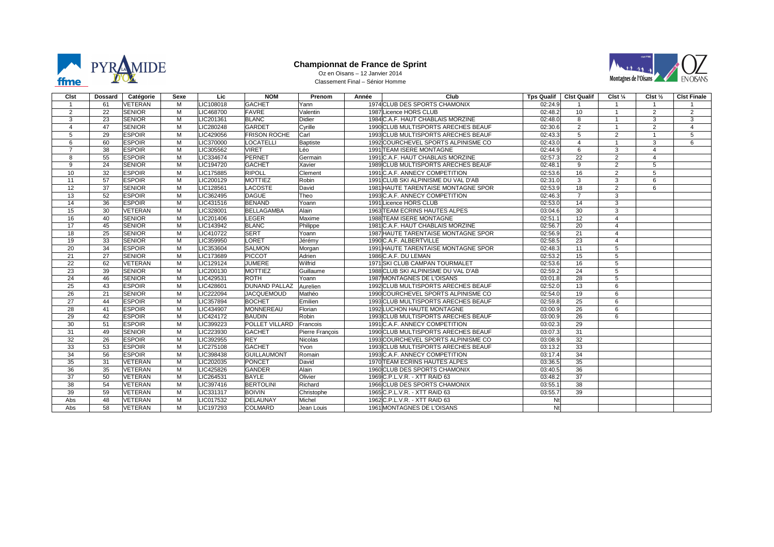

### **Championnat de France de Sprint** Oz en Oisans – 12 Janvier 2014



Classement Final – Sénior Homme

| Cist                 | Dossard | Catégorie     | Sexe | Lic       | <b>NOM</b>          | Prenom          | Année | Club                                | <b>Tps Qualif</b> | <b>Cist Qualif</b> | Clst $\frac{1}{4}$ | Clst $\frac{1}{2}$ | <b>Cist Finale</b> |
|----------------------|---------|---------------|------|-----------|---------------------|-----------------|-------|-------------------------------------|-------------------|--------------------|--------------------|--------------------|--------------------|
| $\blacktriangleleft$ | 61      | VETERAN       | м    | LIC108018 | <b>GACHET</b>       | Yann            |       | 1974 CLUB DES SPORTS CHAMONIX       | 02:24.9           |                    | $\mathbf{1}$       | $\mathbf{1}$       |                    |
| $\overline{2}$       | 22      | <b>SENIOR</b> | M    | LIC468700 | FAVRE               | Valentin        |       | 1987 Licence HORS CLUB              | 02:48.2           | 10                 | $\mathbf{1}$       | 2                  | $\overline{2}$     |
| 3                    | 23      | <b>SENIOR</b> | M    | LIC201361 | <b>BLANC</b>        | Didier          |       | 1984 C.A.F. HAUT CHABLAIS MORZINE   | 02:48.0           | 8                  | $\mathbf{1}$       | 3                  | 3                  |
| $\overline{4}$       | 47      | <b>SENIOR</b> | M    | LIC280248 | <b>GARDET</b>       | Cyrille         |       | 1990 CLUB MULTISPORTS ARECHES BEAUF | 02:30.6           | $\overline{2}$     | $\mathbf{1}$       | 2                  | $\overline{4}$     |
| 5                    | 29      | <b>ESPOIR</b> | M    | LIC429056 | <b>FRISON ROCHE</b> | Carl            |       | 1993 CLUB MULTISPORTS ARECHES BEAUF | 02:43.3           | 5                  | $\overline{2}$     | $\overline{1}$     | 5                  |
| 6                    | 60      | <b>ESPOIR</b> | M    | LIC370000 | LOCATELLI           | <b>Baptiste</b> |       | 1992 COURCHEVEL SPORTS ALPINISME CO | 02:43.0           | 4                  | $\mathbf{1}$       | 3                  | 6                  |
| $\overline{7}$       | 38      | <b>ESPOIR</b> | M    | LIC305562 | <b>VIRET</b>        | Léo             |       | 1991 TEAM ISERE MONTAGNE            | 02:44.9           | 6                  | $\overline{3}$     | $\overline{4}$     |                    |
| 8                    | 55      | <b>ESPOIR</b> | M    | LIC334674 | PERNET              | Germain         |       | 1991 C.A.F. HAUT CHABLAIS MORZINE   | 02:57.3           | $\overline{22}$    | $\overline{2}$     | $\overline{4}$     |                    |
| 9                    | 24      | <b>SENIOR</b> | M    | LIC194720 | <b>GACHET</b>       | Xavier          |       | 1989 CLUB MULTISPORTS ARECHES BEAUF | 02:48.1           | 9                  | $\overline{2}$     | 5                  |                    |
| 10                   | 32      | <b>ESPOIR</b> | M    | LIC175885 | <b>RIPOLL</b>       | Clement         |       | 1991 C.A.F. ANNECY COMPETITION      | 02:53.6           | 16                 | $\overline{2}$     | 5                  |                    |
| 11                   | 57      | <b>ESPOIR</b> | M    | LIC200129 | <b>MOTTIEZ</b>      | Robin           |       | 1991 CLUB SKI ALPINISME DU VAL D'AB | 02:31.0           | 3                  | 3                  | 6                  |                    |
| $\overline{12}$      | 37      | <b>SENIOR</b> | M    | LIC128561 | LACOSTE             | David           |       | 1981 HAUTE TARENTAISE MONTAGNE SPOR | 02:53.9           | 18                 | $\overline{2}$     | 6                  |                    |
| 13                   | 52      | <b>ESPOIR</b> | M    | LIC362495 | DAGUE               | Theo            |       | 1993 C.A.F. ANNECY COMPETITION      | 02:46.3           | $\overline{7}$     | 3                  |                    |                    |
| 14                   | 36      | <b>ESPOIR</b> | M    | LIC431516 | <b>BENAND</b>       | Yoann           |       | 1991 Licence HORS CLUB              | 02:53.0           | 14                 | 3                  |                    |                    |
| 15                   | 30      | VETERAN       | M    | LIC328001 | BELLAGAMBA          | Alain           |       | 1963 TEAM ECRINS HAUTES ALPES       | 03:04.6           | 30                 | 3                  |                    |                    |
| 16                   | 40      | <b>SENIOR</b> | M    | LIC201406 | <b>LEGER</b>        | Maxime          |       | 1988 TEAM ISERE MONTAGNE            | 02:51.1           | $\overline{12}$    | $\overline{4}$     |                    |                    |
| 17                   | 45      | <b>SENIOR</b> | M    | LIC143942 | <b>BLANC</b>        | Philippe        |       | 1981 C.A.F. HAUT CHABLAIS MORZINE   | 02:56.7           | $\overline{20}$    | $\overline{4}$     |                    |                    |
| 18                   | 25      | <b>SENIOR</b> | M    | LIC410722 | <b>SERT</b>         | Yoann           |       | 1987 HAUTE TARENTAISE MONTAGNE SPOR | 02:56.9           | 21                 | $\overline{4}$     |                    |                    |
| 19                   | 33      | <b>SENIOR</b> | M    | LIC359950 | LORET               | Jérémy          |       | 1990 C.A.F. ALBERTVILLE             | 02:58.5           | 23                 | $\overline{4}$     |                    |                    |
| 20                   | 34      | <b>ESPOIR</b> | M    | LIC353604 | <b>SALMON</b>       | Morgan          |       | 1991 HAUTE TARENTAISE MONTAGNE SPOR | 02:48.3           | 11                 | 5                  |                    |                    |
| 21                   | 27      | <b>SENIOR</b> | M    | LIC173689 | PICCOT              | Adrien          |       | 1986 C.A.F. DU LEMAN                | 02:53.2           | 15                 | 5                  |                    |                    |
| $\overline{22}$      | 62      | VETERAN       | M    | LIC129124 | <b>JUMERE</b>       | Wilfrid         |       | 1971 SKI CLUB CAMPAN TOURMALET      | 02:53.6           | 16                 | $\overline{5}$     |                    |                    |
| 23                   | 39      | <b>SENIOR</b> | M    | LIC200130 | <b>MOTTIEZ</b>      | Guillaume       |       | 1988 CLUB SKI ALPINISME DU VAL D'AB | 02:59.2           | 24                 | $\overline{5}$     |                    |                    |
| 24                   | 46      | <b>SENIOR</b> | M    | LIC429531 | <b>ROTH</b>         | Yoann           |       | 1987 MONTAGNES DE L'OISANS          | 03:01.8           | 28                 | 5                  |                    |                    |
| 25                   | 43      | <b>ESPOIR</b> | M    | LIC428601 | DUNAND PALLAZ       | Aurelien        |       | 1992 CLUB MULTISPORTS ARECHES BEAUF | 02:52.0           | 13                 | 6                  |                    |                    |
| $\overline{26}$      | 21      | <b>SENIOR</b> | M    | LIC222094 | <b>JACQUEMOUD</b>   | Mathéo          |       | 1990 COURCHEVEL SPORTS ALPINISME CO | 02:54.0           | $\overline{19}$    | 6                  |                    |                    |
| 27                   | 44      | <b>ESPOIR</b> | M    | LIC357894 | BOCHET              | Emilien         |       | 1993 CLUB MULTISPORTS ARECHES BEAUF | 02:59.8           | 25                 | 6                  |                    |                    |
| 28                   | 41      | <b>ESPOIR</b> | M    | LIC434907 | <b>MONNEREAU</b>    | Florian         |       | <b>1992 LUCHON HAUTE MONTAGNE</b>   | 03:00.9           | 26                 | 6                  |                    |                    |
| 29                   | 42      | <b>ESPOIR</b> | M    | LIC424172 | <b>BAUDIN</b>       | Robin           |       | 1993 CLUB MULTISPORTS ARECHES BEAUF | 03:00.9           | 26                 | 6                  |                    |                    |
| 30                   | 51      | <b>ESPOIR</b> | M    | LIC399223 | POLLET VILLARD      | Francois        |       | 1991 C.A.F. ANNECY COMPETITION      | 03:02.3           | 29                 |                    |                    |                    |
| 31                   | 49      | <b>SENIOR</b> | M    | LIC223930 | <b>GACHET</b>       | Pierre François |       | 1990 CLUB MULTISPORTS ARECHES BEAUF | 03:07.3           | $\overline{31}$    |                    |                    |                    |
| 32                   | 26      | <b>ESPOIR</b> | M    | LIC392955 | <b>REY</b>          | Nicolas         |       | 1993 COURCHEVEL SPORTS ALPINISME CO | 03:08.9           | 32                 |                    |                    |                    |
| 33                   | 53      | <b>ESPOIR</b> | M    | LIC275108 | <b>GACHET</b>       | Yvon            |       | 1993 CLUB MULTISPORTS ARECHES BEAUF | 03:13.2           | 33                 |                    |                    |                    |
| 34                   | 56      | <b>ESPOIR</b> | M    | LIC398438 | <b>GUILLAUMONT</b>  | Romain          |       | 1993 C.A.F. ANNECY COMPETITION      | 03:17.4           | 34                 |                    |                    |                    |
| 35                   | 31      | VETERAN       | M    | LIC202035 | PONCET              | David           |       | 1970 TEAM ECRINS HAUTES ALPES       | 03:36.5           | 35                 |                    |                    |                    |
| 36                   | 35      | VETERAN       | M    | LIC425826 | <b>GANDER</b>       | Alain           |       | 1960 CLUB DES SPORTS CHAMONIX       | 03:40.5           | $\overline{36}$    |                    |                    |                    |
| 37                   | 50      | VETERAN       | M    | LIC264531 | <b>BAYLE</b>        | Olivier         |       | 1969 C.P.L.V.R. - XTT RAID 63       | 03:48.2           | 37                 |                    |                    |                    |
| 38                   | 54      | VETERAN       | M    | LIC397416 | <b>BERTOLINI</b>    | Richard         |       | 1966 CLUB DES SPORTS CHAMONIX       | 03:55.1           | 38                 |                    |                    |                    |
| 39                   | 59      | VETERAN       | M    | LIC331317 | <b>BOIVIN</b>       | Christophe      |       | 1965 C.P.L.V.R. - XTT RAID 63       | 03:55.7           | 39                 |                    |                    |                    |
| Abs                  | 48      | VETERAN       | M    | LIC017532 | DELAUNAY            | Michel          |       | 1962 C.P.L.V.R. - XTT RAID 63       | Nt                |                    |                    |                    |                    |
| Abs                  | 58      | VETERAN       | M    | LIC197293 | <b>COLMARD</b>      | Jean Louis      |       | 1961 MONTAGNES DE L'OISANS          | Nt                |                    |                    |                    |                    |
|                      |         |               |      |           |                     |                 |       |                                     |                   |                    |                    |                    |                    |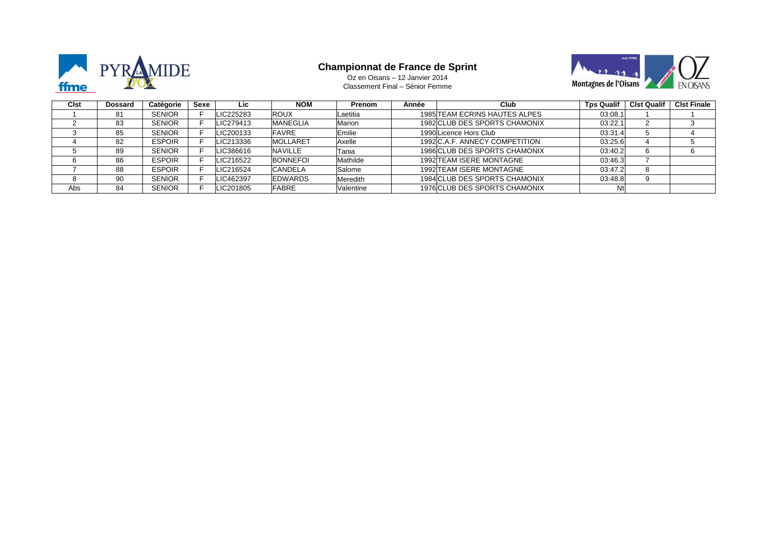

# **Championnat de France de Sprint** Oz en Oisans – 12 Janvier 2014



Classement Final – Sénior Femme

| Cist | Dossard | Catégorie     | Sexe | Lic       | <b>NOM</b>      | <b>Prenom</b> | Année | Club                           | <b>Tps Qualif</b> | <b>Cist Qualif</b> | <b>CIst Finale</b> |
|------|---------|---------------|------|-----------|-----------------|---------------|-------|--------------------------------|-------------------|--------------------|--------------------|
|      | 81      | <b>SENIOR</b> |      | LIC225283 | <b>ROUX</b>     | Laetitia      |       | 1985 TEAM ECRINS HAUTES ALPES  | 03:08.1           |                    |                    |
|      | 83      | <b>SENIOR</b> |      | LIC279413 | <b>MANEGLIA</b> | Marion        |       | 1982 CLUB DES SPORTS CHAMONIX  | 03:22.1           |                    |                    |
|      | 85      | <b>SENIOR</b> |      | LIC200133 | <b>FAVRE</b>    | Emilie        |       | 1990 Licence Hors Club         | 03:31.4           |                    |                    |
|      | 82      | <b>ESPOIR</b> |      | LIC213336 | <b>MOLLARET</b> | Axelle        |       | 1992 C.A.F. ANNECY COMPETITION | 03:25.6           |                    |                    |
|      | 89      | <b>SENIOR</b> |      | LIC386616 | NAVILLE         | Tania         |       | 1986 CLUB DES SPORTS CHAMONIX  | 03:40.2           |                    |                    |
|      | 86      | <b>ESPOIR</b> |      | LIC216522 | <b>BONNEFOI</b> | Mathilde      |       | 1992 TEAM ISERE MONTAGNE       | 03:46.3           |                    |                    |
|      | 88      | <b>ESPOIR</b> |      | LIC216524 | CANDELA         | Salome        |       | 1992 TEAM ISERE MONTAGNE       | 03:47.2           |                    |                    |
|      | 90      | <b>SENIOR</b> |      | LIC462397 | <b>EDWARDS</b>  | Meredith      |       | 1984 CLUB DES SPORTS CHAMONIX  | 03:48.8           |                    |                    |
| Abs  | 84      | <b>SENIOR</b> |      | LIC201805 | <b>FABRE</b>    | Valentine     |       | 1976 CLUB DES SPORTS CHAMONIX  | Ntl               |                    |                    |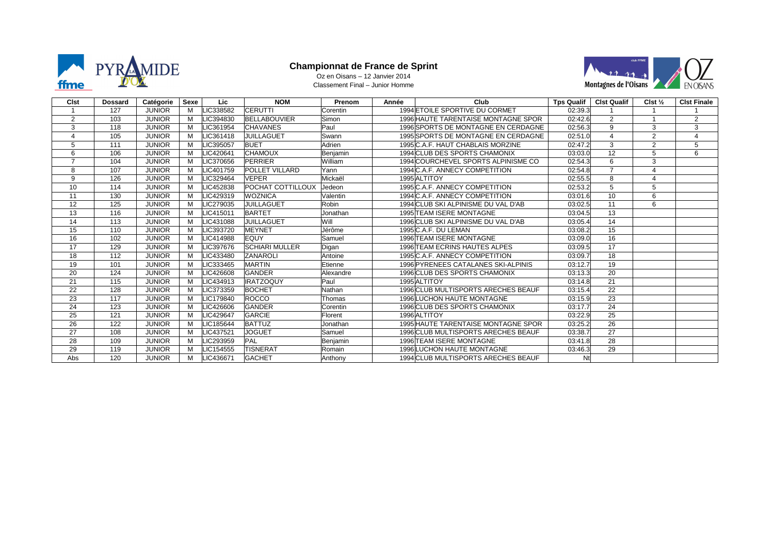

## **Championnat de France de Sprint** Oz en Oisans – 12 Janvier 2014

Classement Final – Junior Homme



| <b>C</b> lst   | <b>Dossard</b> | Catégorie     | Sexe | Lic       | <b>NOM</b>               | Prenom    | Année | Club                                       | <b>Tps Qualif</b> | <b>CIst Qualif</b> | Clst $\frac{1}{2}$ | <b>Clst Finale</b> |
|----------------|----------------|---------------|------|-----------|--------------------------|-----------|-------|--------------------------------------------|-------------------|--------------------|--------------------|--------------------|
|                | 127            | <b>JUNIOR</b> | M    | LIC338582 | <b>CERUTTI</b>           | Corentin  |       | 1994 ETOILE SPORTIVE DU CORMET             | 02:39.3           |                    |                    |                    |
| 2              | 103            | <b>JUNIOR</b> | M    | LIC394830 | <b>BELLABOUVIER</b>      | Simon     |       | <b>1996 HAUTE TARENTAISE MONTAGNE SPOR</b> | 02:42.6           | $\overline{2}$     |                    | 2                  |
| 3              | 118            | <b>JUNIOR</b> | M    | LIC361954 | <b>CHAVANES</b>          | Paul      |       | 1996 SPORTS DE MONTAGNE EN CERDAGNE        | 02:56.3           | 9                  | 3                  | 3                  |
|                | 105            | <b>JUNIOR</b> | M    | LIC361418 | <b>JUILLAGUET</b>        | Swann     |       | 1995 SPORTS DE MONTAGNE EN CERDAGNE        | 02:51.0           |                    | 2                  | $\overline{4}$     |
| 5              | 111            | <b>JUNIOR</b> | м    | LIC395057 | <b>BUET</b>              | Adrien    |       | 1995 C.A.F. HAUT CHABLAIS MORZINE          | 02:47.2           | 3                  | 2                  | 5                  |
| 6              | 106            | <b>JUNIOR</b> | M    | LIC420641 | <b>CHAMOUX</b>           | Benjamin  |       | 1994 CLUB DES SPORTS CHAMONIX              | 03:03.0           | 12                 | 5                  | 6                  |
| $\overline{7}$ | 104            | <b>JUNIOR</b> | M    | LIC370656 | PERRIER                  | William   |       | 1994 COURCHEVEL SPORTS ALPINISME CO        | 02:54.3           | 6                  | 3                  |                    |
| 8              | 107            | <b>JUNIOR</b> | M    | LIC401759 | <b>POLLET VILLARD</b>    | Yann      |       | 1994 C.A.F. ANNECY COMPETITION             | 02:54.8           |                    | $\overline{4}$     |                    |
| 9              | 126            | <b>JUNIOR</b> | M    | LIC329464 | <b>VEPER</b>             | Mickaël   |       | 1995 ALTITOY                               | 02:55.5           | 8                  | $\overline{4}$     |                    |
| 10             | 114            | <b>JUNIOR</b> | M    | LIC452838 | <b>POCHAT COTTILLOUX</b> | Jedeon    |       | 1995 C.A.F. ANNECY COMPETITION             | 02:53.2           |                    | 5                  |                    |
| 11             | 130            | <b>JUNIOR</b> | M    | LIC429319 | <b>WOZNICA</b>           | Valentin  |       | 1994 C.A.F. ANNECY COMPETITION             | 03:01.6           | 10                 | 6                  |                    |
| 12             | 125            | <b>JUNIOR</b> | M    | LIC279035 | JUILLAGUET               | Robin     |       | 1994 CLUB SKI ALPINISME DU VAL D'AB        | 03:02.5           | 11                 | 6                  |                    |
| 13             | 116            | <b>JUNIOR</b> | M    | LIC415011 | <b>BARTET</b>            | Jonathan  |       | <b>1995 TEAM ISERE MONTAGNE</b>            | 03:04.5           | 13                 |                    |                    |
| 14             | 113            | <b>JUNIOR</b> | M    | LIC431088 | JUILLAGUET               | Will      |       | 1996 CLUB SKI ALPINISME DU VAL D'AB        | 03:05.4           | 14                 |                    |                    |
| 15             | 110            | <b>JUNIOR</b> | м    | LIC393720 | <b>MEYNET</b>            | Jérôme    |       | 1995 C.A.F. DU LEMAN                       | 03:08.2           | 15                 |                    |                    |
| 16             | 102            | <b>JUNIOR</b> | м    | LIC414988 | EQUY                     | Samuel    |       | 1996 TEAM ISERE MONTAGNE                   | 03:09.0           | 16                 |                    |                    |
| 17             | 129            | <b>JUNIOR</b> | м    | LIC397676 | <b>SCHIARI MULLER</b>    | Digan     |       | <b>1996 TEAM ECRINS HAUTES ALPES</b>       | 03:09.5           | 17                 |                    |                    |
| 18             | 112            | <b>JUNIOR</b> | M    | LIC433480 | <b>ZANAROLI</b>          | Antoine   |       | 1995 C.A.F. ANNECY COMPETITION             | 03:09.7           | 18                 |                    |                    |
| 19             | 101            | <b>JUNIOR</b> | M    | LIC333465 | <b>MARTIN</b>            | Etienne   |       | 1996 PYRENEES CATALANES SKI-ALPINIS        | 03:12.7           | 19                 |                    |                    |
| 20             | 124            | <b>JUNIOR</b> | M    | LIC426608 | <b>GANDER</b>            | Alexandre |       | 1996 CLUB DES SPORTS CHAMONIX              | 03:13.3           | 20                 |                    |                    |
| 21             | 115            | <b>JUNIOR</b> | M    | LIC434913 | <b>IRATZOQUY</b>         | Paul      |       | 1995 ALTITOY                               | 03:14.8           | 21                 |                    |                    |
| 22             | 128            | <b>JUNIOR</b> | м    | LIC373359 | <b>BOCHET</b>            | Nathan    |       | 1996 CLUB MULTISPORTS ARECHES BEAUF        | 03:15.4           | 22                 |                    |                    |
| 23             | 117            | <b>JUNIOR</b> | M    | LIC179840 | <b>ROCCO</b>             | Thomas    |       | <b>1996LUCHON HAUTE MONTAGNE</b>           | 03:15.9           | 23                 |                    |                    |
| 24             | 123            | <b>JUNIOR</b> | м    | LIC426606 | <b>GANDER</b>            | Corentin  |       | 1996 CLUB DES SPORTS CHAMONIX              | 03:17.7           | $\overline{24}$    |                    |                    |
| 25             | 121            | <b>JUNIOR</b> | M    | LIC429647 | <b>GARCIE</b>            | Florent   |       | 1996 ALTITOY                               | 03:22.9           | 25                 |                    |                    |
| 26             | 122            | <b>JUNIOR</b> | м    | LIC185644 | <b>BATTUZ</b>            | Jonathan  |       | 1995 HAUTE TARENTAISE MONTAGNE SPOR        | 03:25.2           | 26                 |                    |                    |
| 27             | 108            | <b>JUNIOR</b> | M    | LIC437521 | <b>JOGUET</b>            | Samuel    |       | 1996 CLUB MULTISPORTS ARECHES BEAUF        | 03:38.7           | 27                 |                    |                    |
| 28             | 109            | <b>JUNIOR</b> | M    | LIC293959 | PAL                      | Benjamin  |       | 1996 TEAM ISERE MONTAGNE                   | 03:41.8           | 28                 |                    |                    |
| 29             | 119            | <b>JUNIOR</b> | M    | LIC154555 | <b>TISNERAT</b>          | Romain    |       | <b>1996LUCHON HAUTE MONTAGNE</b>           | 03:46.3           | 29                 |                    |                    |
| Abs            | 120            | <b>JUNIOR</b> | M    | LIC436671 | <b>GACHET</b>            | Anthony   |       | 1994 CLUB MULTISPORTS ARECHES BEAUF        | Nt                |                    |                    |                    |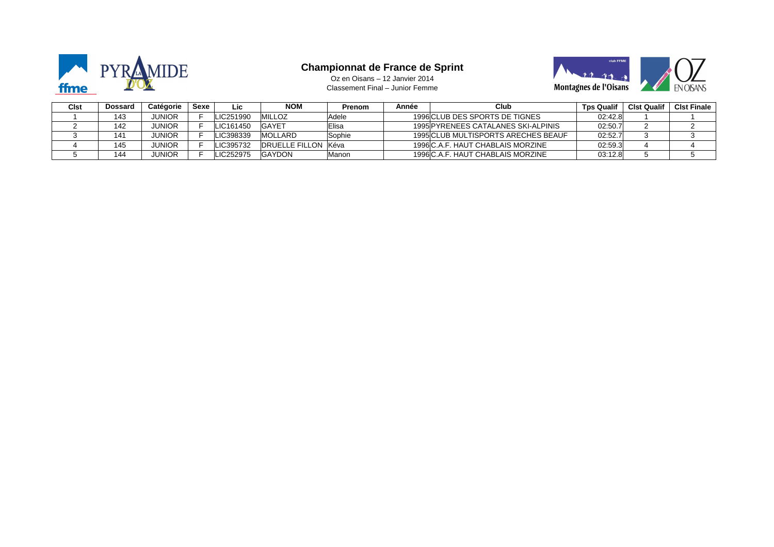

#### **Championnat de France de Sprint**



Classement Final – Junior Femme Oz en Oisans – 12 Janvier 2014

| Cist | Dossard | Catégorie     | Sexe | Lic       | <b>NOM</b>                 | Prenom | Année | Club                                | <b>Tps Qualif</b> | <b>Clst Qualif</b> | <b>CIst Finale</b> |
|------|---------|---------------|------|-----------|----------------------------|--------|-------|-------------------------------------|-------------------|--------------------|--------------------|
|      | 143     | JUNIOR        |      | LIC251990 | <b>MILLOZ</b>              | Adele  |       | 1996 CLUB DES SPORTS DE TIGNES      | 02:42.8           |                    |                    |
|      | 142     | <b>JUNIOR</b> |      | LIC161450 | <b>GAYET</b>               | Elisa  |       | 1995 PYRENEES CATALANES SKI-ALPINIS | 02:50.7           |                    |                    |
|      | 141     | JUNIOR        |      | LIC398339 | <b>MOLLARD</b>             | Sophie |       | 1995 CLUB MULTISPORTS ARECHES BEAUF | 02:52.7           |                    |                    |
|      | 145     | JUNIOR        |      | LIC395732 | <b>DRUELLE FILLON Kéva</b> |        |       | 1996 C.A.F. HAUT CHABLAIS MORZINE   | 02:59.3           |                    |                    |
|      | 144     | <b>UNIOR</b>  |      | LIC252975 | <b>GAYDON</b>              | Manon  |       | 1996 C.A.F. HAUT CHABLAIS MORZINE   | 03:12.8           |                    |                    |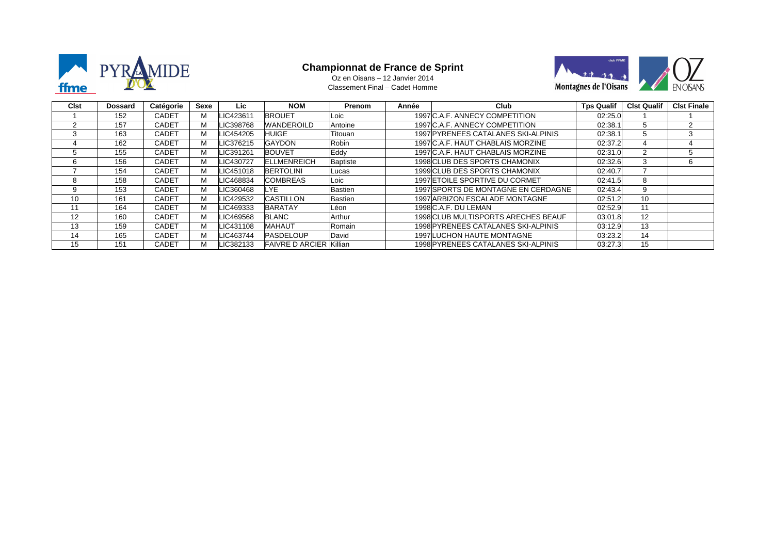

#### **Championnat de France de Sprint**



Classement Final – Cadet Homme Oz en Oisans – 12 Janvier 2014

| <b>Cist</b> | <b>Dossard</b> | Catégorie    | Sexe | Lic       | <b>NOM</b>             | <b>Prenom</b>  | Année | <b>Club</b>                         | <b>Tps Qualif</b> | <b>Clst Qualif</b> | <b>CIst Finale</b> |
|-------------|----------------|--------------|------|-----------|------------------------|----------------|-------|-------------------------------------|-------------------|--------------------|--------------------|
|             | 152            | CADET        | м    | LIC423611 | <b>BROUET</b>          | Loic           |       | 1997 C.A.F. ANNECY COMPETITION      | 02:25.0           |                    |                    |
| 2           | 157            | <b>CADET</b> | м    | LIC398768 | <b>WANDEROILD</b>      | Antoine        |       | 1997 C.A.F. ANNECY COMPETITION      | 02:38.1           |                    |                    |
| 3           | 163            | CADET        | м    | LIC454205 | <b>HUIGE</b>           | Titouan        |       | 1997 PYRENEES CATALANES SKI-ALPINIS | 02:38.1           | .h                 | 3                  |
|             | 162            | <b>CADET</b> | м    | LIC376215 | <b>GAYDON</b>          | Robin          |       | 1997 C.A.F. HAUT CHABLAIS MORZINE   | 02:37.2           | 4                  | 4                  |
| 5           | 155            | <b>CADET</b> | м    | LIC391261 | <b>BOUVET</b>          | Eddy           |       | 1997 C.A.F. HAUT CHABLAIS MORZINE   | 02:31.0           |                    | 5                  |
| 6           | 156            | <b>CADET</b> | м    | LIC430727 | <b>ELLMENREICH</b>     | Baptiste       |       | 1998 CLUB DES SPORTS CHAMONIX       | 02:32.6           |                    | 6                  |
|             | 154            | <b>CADET</b> | м    | LIC451018 | <b>BERTOLINI</b>       | Lucas          |       | 1999 CLUB DES SPORTS CHAMONIX       | 02:40.7           |                    |                    |
| 8           | 158            | CADET        | м    | LIC468834 | <b>COMBREAS</b>        | Loic           |       | 1997 ETOILE SPORTIVE DU CORMET      | 02:41.5           | 8                  |                    |
| 9           | 153            | CADET        | м    | LIC360468 | LYE.                   | <b>Bastien</b> |       | 1997 SPORTS DE MONTAGNE EN CERDAGNE | 02:43.4           | 9                  |                    |
| 10          | 161            | <b>CADET</b> | м    | LIC429532 | <b>CASTILLON</b>       | Bastien        |       | 1997 ARBIZON ESCALADE MONTAGNE      | 02:51.2           | 10 <sup>1</sup>    |                    |
| 11          | 164            | CADET        | м    | LIC469333 | <b>BARATAY</b>         | Léon           |       | 1998 C.A.F. DU LEMAN                | 02:52.9           | 11                 |                    |
| 12          | 160            | CADET        | м    | LIC469568 | <b>BLANC</b>           | Arthur         |       | 1998 CLUB MULTISPORTS ARECHES BEAUF | 03:01.8           | 12                 |                    |
| 13          | 159            | CADET        | м    | LIC431108 | <b>MAHAUT</b>          | Romain         |       | 1998 PYRENEES CATALANES SKI-ALPINIS | 03:12.9           | 13                 |                    |
| 14          | 165            | <b>CADET</b> | м    | LIC463744 | <b>PASDELOUP</b>       | David          |       | <b>1997 LUCHON HAUTE MONTAGNE</b>   | 03:23.2           | 14                 |                    |
| 15          | 151            | CADET        | м    | LIC382133 | <b>FAIVRE D ARCIER</b> | Killian        |       | 1998 PYRENEES CATALANES SKI-ALPINIS | 03:27.3           | 15                 |                    |